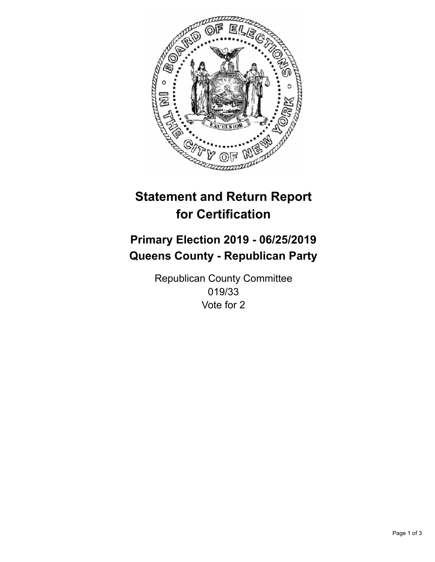

## **Statement and Return Report for Certification**

## **Primary Election 2019 - 06/25/2019 Queens County - Republican Party**

Republican County Committee 019/33 Vote for 2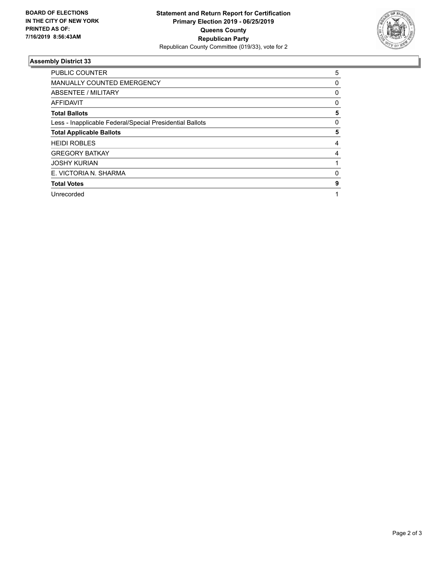

## **Assembly District 33**

| <b>PUBLIC COUNTER</b>                                    | 5            |
|----------------------------------------------------------|--------------|
| <b>MANUALLY COUNTED EMERGENCY</b>                        | 0            |
| ABSENTEE / MILITARY                                      | $\mathbf{0}$ |
| AFFIDAVIT                                                | 0            |
| <b>Total Ballots</b>                                     | 5            |
| Less - Inapplicable Federal/Special Presidential Ballots | 0            |
| <b>Total Applicable Ballots</b>                          | 5            |
| <b>HEIDI ROBLES</b>                                      | 4            |
| <b>GREGORY BATKAY</b>                                    | 4            |
| <b>JOSHY KURIAN</b>                                      |              |
| E. VICTORIA N. SHARMA                                    | 0            |
| <b>Total Votes</b>                                       | 9            |
| Unrecorded                                               |              |